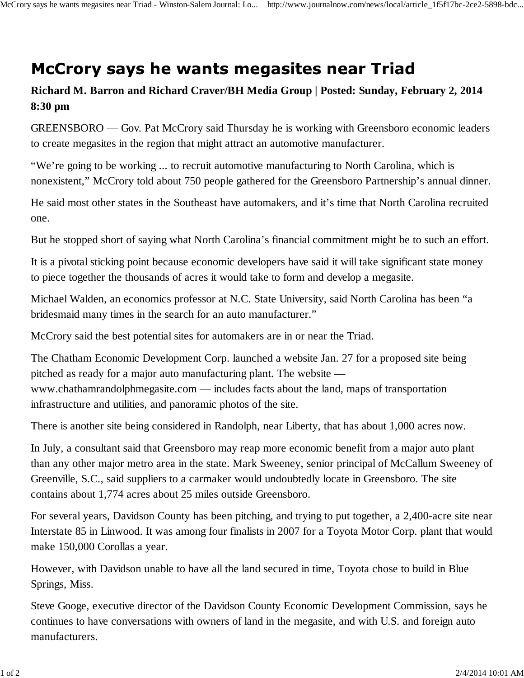## McCrory says he wants megasites near Triad

## **Richard M. Barron and Richard Craver/BH Media Group | Posted: Sunday, February 2, 2014 8:30 pm**

GREENSBORO — Gov. Pat McCrory said Thursday he is working with Greensboro economic leaders to create megasites in the region that might attract an automotive manufacturer.

"We're going to be working ... to recruit automotive manufacturing to North Carolina, which is nonexistent," McCrory told about 750 people gathered for the Greensboro Partnership's annual dinner.

He said most other states in the Southeast have automakers, and it's time that North Carolina recruited one.

But he stopped short of saying what North Carolina's financial commitment might be to such an effort.

It is a pivotal sticking point because economic developers have said it will take significant state money to piece together the thousands of acres it would take to form and develop a megasite.

Michael Walden, an economics professor at N.C. State University, said North Carolina has been "a bridesmaid many times in the search for an auto manufacturer."

McCrory said the best potential sites for automakers are in or near the Triad.

The Chatham Economic Development Corp. launched a website Jan. 27 for a proposed site being pitched as ready for a major auto manufacturing plant. The website www.chathamrandolphmegasite.com — includes facts about the land, maps of transportation infrastructure and utilities, and panoramic photos of the site.

There is another site being considered in Randolph, near Liberty, that has about 1,000 acres now.

In July, a consultant said that Greensboro may reap more economic benefit from a major auto plant than any other major metro area in the state. Mark Sweeney, senior principal of McCallum Sweeney of Greenville, S.C., said suppliers to a carmaker would undoubtedly locate in Greensboro. The site contains about 1,774 acres about 25 miles outside Greensboro.

For several years, Davidson County has been pitching, and trying to put together, a 2,400-acre site near Interstate 85 in Linwood. It was among four finalists in 2007 for a Toyota Motor Corp. plant that would make 150,000 Corollas a year.

However, with Davidson unable to have all the land secured in time, Toyota chose to build in Blue Springs, Miss.

Steve Googe, executive director of the Davidson County Economic Development Commission, says he continues to have conversations with owners of land in the megasite, and with U.S. and foreign auto manufacturers.